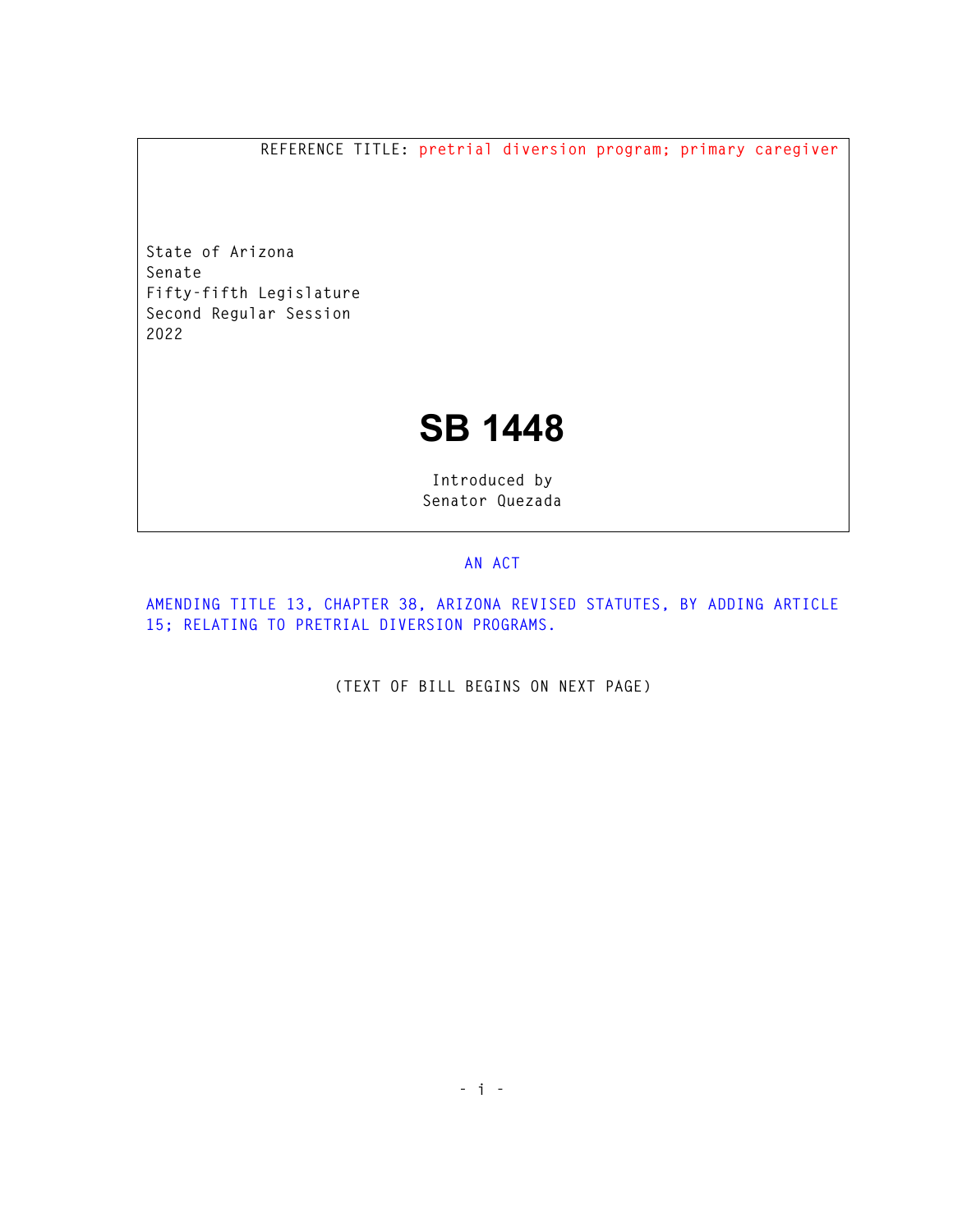**REFERENCE TITLE: pretrial diversion program; primary caregiver** 

**State of Arizona Senate Fifty-fifth Legislature Second Regular Session 2022** 

## **SB 1448**

**Introduced by Senator Quezada** 

## **AN ACT**

**AMENDING TITLE 13, CHAPTER 38, ARIZONA REVISED STATUTES, BY ADDING ARTICLE 15; RELATING TO PRETRIAL DIVERSION PROGRAMS.** 

**(TEXT OF BILL BEGINS ON NEXT PAGE)**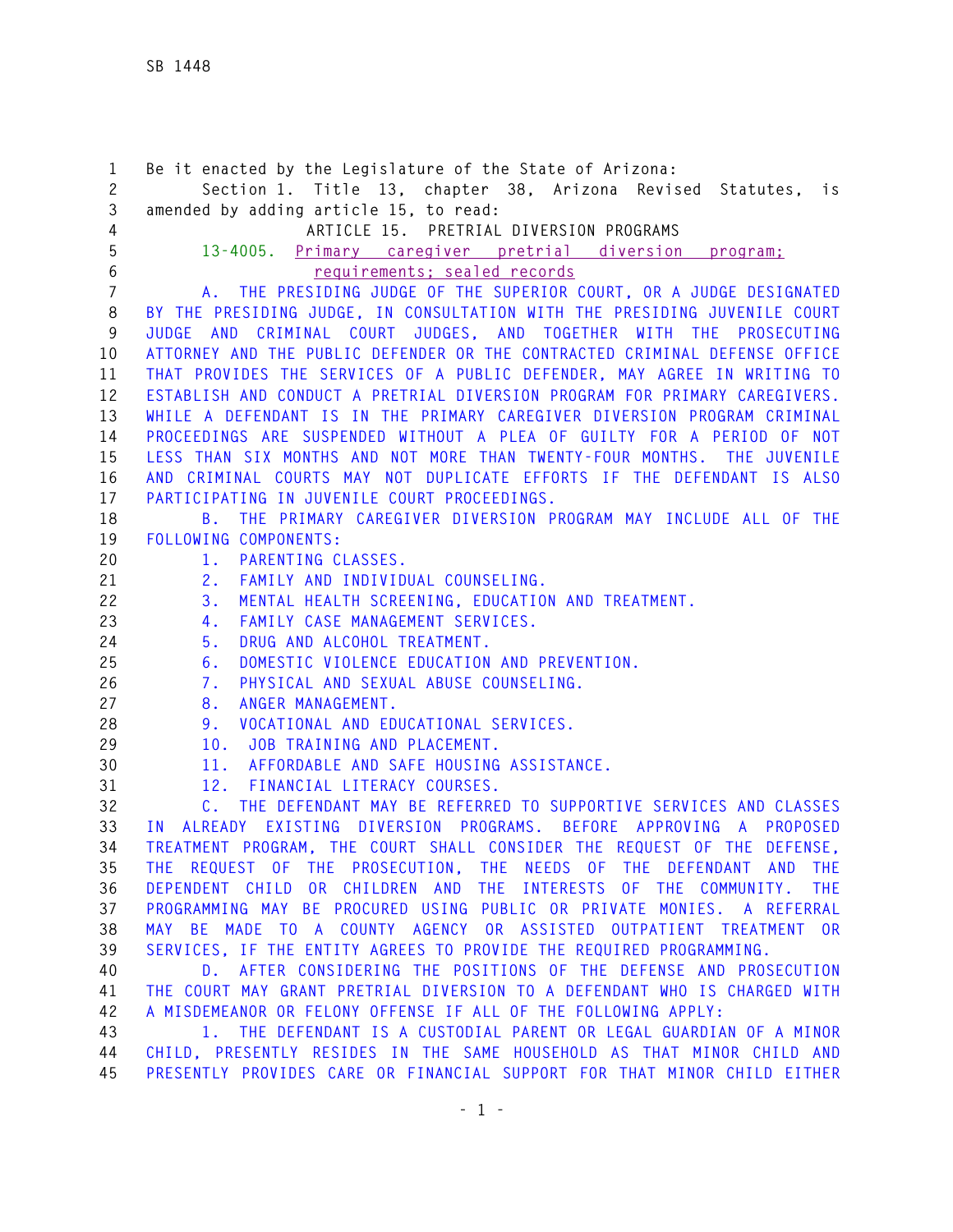**1 Be it enacted by the Legislature of the State of Arizona: 2 Section 1. Title 13, chapter 38, Arizona Revised Statutes, is 3 amended by adding article 15, to read: 4 ARTICLE 15. PRETRIAL DIVERSION PROGRAMS 5 13-4005. Primary caregiver pretrial diversion program; 6 requirements; sealed records 7 A. THE PRESIDING JUDGE OF THE SUPERIOR COURT, OR A JUDGE DESIGNATED 8 BY THE PRESIDING JUDGE, IN CONSULTATION WITH THE PRESIDING JUVENILE COURT 9 JUDGE AND CRIMINAL COURT JUDGES, AND TOGETHER WITH THE PROSECUTING 10 ATTORNEY AND THE PUBLIC DEFENDER OR THE CONTRACTED CRIMINAL DEFENSE OFFICE 11 THAT PROVIDES THE SERVICES OF A PUBLIC DEFENDER, MAY AGREE IN WRITING TO 12 ESTABLISH AND CONDUCT A PRETRIAL DIVERSION PROGRAM FOR PRIMARY CAREGIVERS. 13 WHILE A DEFENDANT IS IN THE PRIMARY CAREGIVER DIVERSION PROGRAM CRIMINAL 14 PROCEEDINGS ARE SUSPENDED WITHOUT A PLEA OF GUILTY FOR A PERIOD OF NOT 15 LESS THAN SIX MONTHS AND NOT MORE THAN TWENTY-FOUR MONTHS. THE JUVENILE 16 AND CRIMINAL COURTS MAY NOT DUPLICATE EFFORTS IF THE DEFENDANT IS ALSO 17 PARTICIPATING IN JUVENILE COURT PROCEEDINGS. 18 B. THE PRIMARY CAREGIVER DIVERSION PROGRAM MAY INCLUDE ALL OF THE 19 FOLLOWING COMPONENTS: 20 1. PARENTING CLASSES. 21 2. FAMILY AND INDIVIDUAL COUNSELING. 22 3. MENTAL HEALTH SCREENING, EDUCATION AND TREATMENT. 23 4. FAMILY CASE MANAGEMENT SERVICES. 24 5. DRUG AND ALCOHOL TREATMENT. 25 6. DOMESTIC VIOLENCE EDUCATION AND PREVENTION. 26 7. PHYSICAL AND SEXUAL ABUSE COUNSELING. 27 8. ANGER MANAGEMENT. 28 9. VOCATIONAL AND EDUCATIONAL SERVICES. 29 10. JOB TRAINING AND PLACEMENT. 30 11. AFFORDABLE AND SAFE HOUSING ASSISTANCE. 31 12. FINANCIAL LITERACY COURSES. 32 C. THE DEFENDANT MAY BE REFERRED TO SUPPORTIVE SERVICES AND CLASSES 33 IN ALREADY EXISTING DIVERSION PROGRAMS. BEFORE APPROVING A PROPOSED 34 TREATMENT PROGRAM, THE COURT SHALL CONSIDER THE REQUEST OF THE DEFENSE, 35 THE REQUEST OF THE PROSECUTION, THE NEEDS OF THE DEFENDANT AND THE 36 DEPENDENT CHILD OR CHILDREN AND THE INTERESTS OF THE COMMUNITY. THE 37 PROGRAMMING MAY BE PROCURED USING PUBLIC OR PRIVATE MONIES. A REFERRAL 38 MAY BE MADE TO A COUNTY AGENCY OR ASSISTED OUTPATIENT TREATMENT OR 39 SERVICES, IF THE ENTITY AGREES TO PROVIDE THE REQUIRED PROGRAMMING. 40 D. AFTER CONSIDERING THE POSITIONS OF THE DEFENSE AND PROSECUTION 41 THE COURT MAY GRANT PRETRIAL DIVERSION TO A DEFENDANT WHO IS CHARGED WITH 42 A MISDEMEANOR OR FELONY OFFENSE IF ALL OF THE FOLLOWING APPLY: 43 1. THE DEFENDANT IS A CUSTODIAL PARENT OR LEGAL GUARDIAN OF A MINOR 44 CHILD, PRESENTLY RESIDES IN THE SAME HOUSEHOLD AS THAT MINOR CHILD AND 45 PRESENTLY PROVIDES CARE OR FINANCIAL SUPPORT FOR THAT MINOR CHILD EITHER**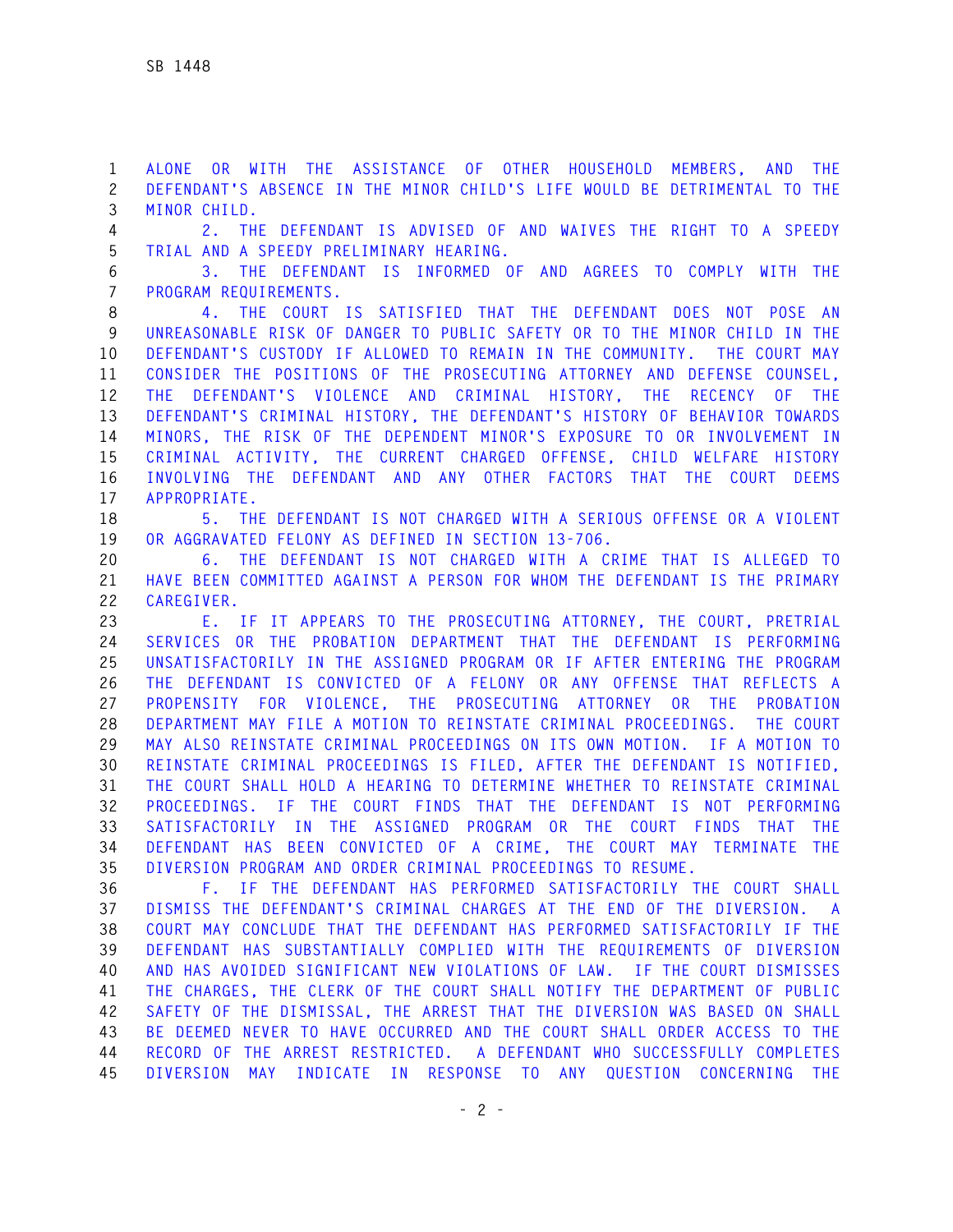**1 ALONE OR WITH THE ASSISTANCE OF OTHER HOUSEHOLD MEMBERS, AND THE 2 DEFENDANT'S ABSENCE IN THE MINOR CHILD'S LIFE WOULD BE DETRIMENTAL TO THE 3 MINOR CHILD.** 

**4 2. THE DEFENDANT IS ADVISED OF AND WAIVES THE RIGHT TO A SPEEDY 5 TRIAL AND A SPEEDY PRELIMINARY HEARING.** 

**6 3. THE DEFENDANT IS INFORMED OF AND AGREES TO COMPLY WITH THE 7 PROGRAM REQUIREMENTS.** 

**8 4. THE COURT IS SATISFIED THAT THE DEFENDANT DOES NOT POSE AN 9 UNREASONABLE RISK OF DANGER TO PUBLIC SAFETY OR TO THE MINOR CHILD IN THE 10 DEFENDANT'S CUSTODY IF ALLOWED TO REMAIN IN THE COMMUNITY. THE COURT MAY 11 CONSIDER THE POSITIONS OF THE PROSECUTING ATTORNEY AND DEFENSE COUNSEL, 12 THE DEFENDANT'S VIOLENCE AND CRIMINAL HISTORY, THE RECENCY OF THE 13 DEFENDANT'S CRIMINAL HISTORY, THE DEFENDANT'S HISTORY OF BEHAVIOR TOWARDS 14 MINORS, THE RISK OF THE DEPENDENT MINOR'S EXPOSURE TO OR INVOLVEMENT IN 15 CRIMINAL ACTIVITY, THE CURRENT CHARGED OFFENSE, CHILD WELFARE HISTORY 16 INVOLVING THE DEFENDANT AND ANY OTHER FACTORS THAT THE COURT DEEMS 17 APPROPRIATE.** 

**18 5. THE DEFENDANT IS NOT CHARGED WITH A SERIOUS OFFENSE OR A VIOLENT 19 OR AGGRAVATED FELONY AS DEFINED IN SECTION 13-706.** 

**20 6. THE DEFENDANT IS NOT CHARGED WITH A CRIME THAT IS ALLEGED TO 21 HAVE BEEN COMMITTED AGAINST A PERSON FOR WHOM THE DEFENDANT IS THE PRIMARY 22 CAREGIVER.** 

**23 E. IF IT APPEARS TO THE PROSECUTING ATTORNEY, THE COURT, PRETRIAL 24 SERVICES OR THE PROBATION DEPARTMENT THAT THE DEFENDANT IS PERFORMING 25 UNSATISFACTORILY IN THE ASSIGNED PROGRAM OR IF AFTER ENTERING THE PROGRAM 26 THE DEFENDANT IS CONVICTED OF A FELONY OR ANY OFFENSE THAT REFLECTS A 27 PROPENSITY FOR VIOLENCE, THE PROSECUTING ATTORNEY OR THE PROBATION 28 DEPARTMENT MAY FILE A MOTION TO REINSTATE CRIMINAL PROCEEDINGS. THE COURT 29 MAY ALSO REINSTATE CRIMINAL PROCEEDINGS ON ITS OWN MOTION. IF A MOTION TO 30 REINSTATE CRIMINAL PROCEEDINGS IS FILED, AFTER THE DEFENDANT IS NOTIFIED, 31 THE COURT SHALL HOLD A HEARING TO DETERMINE WHETHER TO REINSTATE CRIMINAL 32 PROCEEDINGS. IF THE COURT FINDS THAT THE DEFENDANT IS NOT PERFORMING 33 SATISFACTORILY IN THE ASSIGNED PROGRAM OR THE COURT FINDS THAT THE 34 DEFENDANT HAS BEEN CONVICTED OF A CRIME, THE COURT MAY TERMINATE THE 35 DIVERSION PROGRAM AND ORDER CRIMINAL PROCEEDINGS TO RESUME.** 

**36 F. IF THE DEFENDANT HAS PERFORMED SATISFACTORILY THE COURT SHALL 37 DISMISS THE DEFENDANT'S CRIMINAL CHARGES AT THE END OF THE DIVERSION. A 38 COURT MAY CONCLUDE THAT THE DEFENDANT HAS PERFORMED SATISFACTORILY IF THE 39 DEFENDANT HAS SUBSTANTIALLY COMPLIED WITH THE REQUIREMENTS OF DIVERSION 40 AND HAS AVOIDED SIGNIFICANT NEW VIOLATIONS OF LAW. IF THE COURT DISMISSES 41 THE CHARGES, THE CLERK OF THE COURT SHALL NOTIFY THE DEPARTMENT OF PUBLIC 42 SAFETY OF THE DISMISSAL, THE ARREST THAT THE DIVERSION WAS BASED ON SHALL 43 BE DEEMED NEVER TO HAVE OCCURRED AND THE COURT SHALL ORDER ACCESS TO THE 44 RECORD OF THE ARREST RESTRICTED. A DEFENDANT WHO SUCCESSFULLY COMPLETES 45 DIVERSION MAY INDICATE IN RESPONSE TO ANY QUESTION CONCERNING THE**